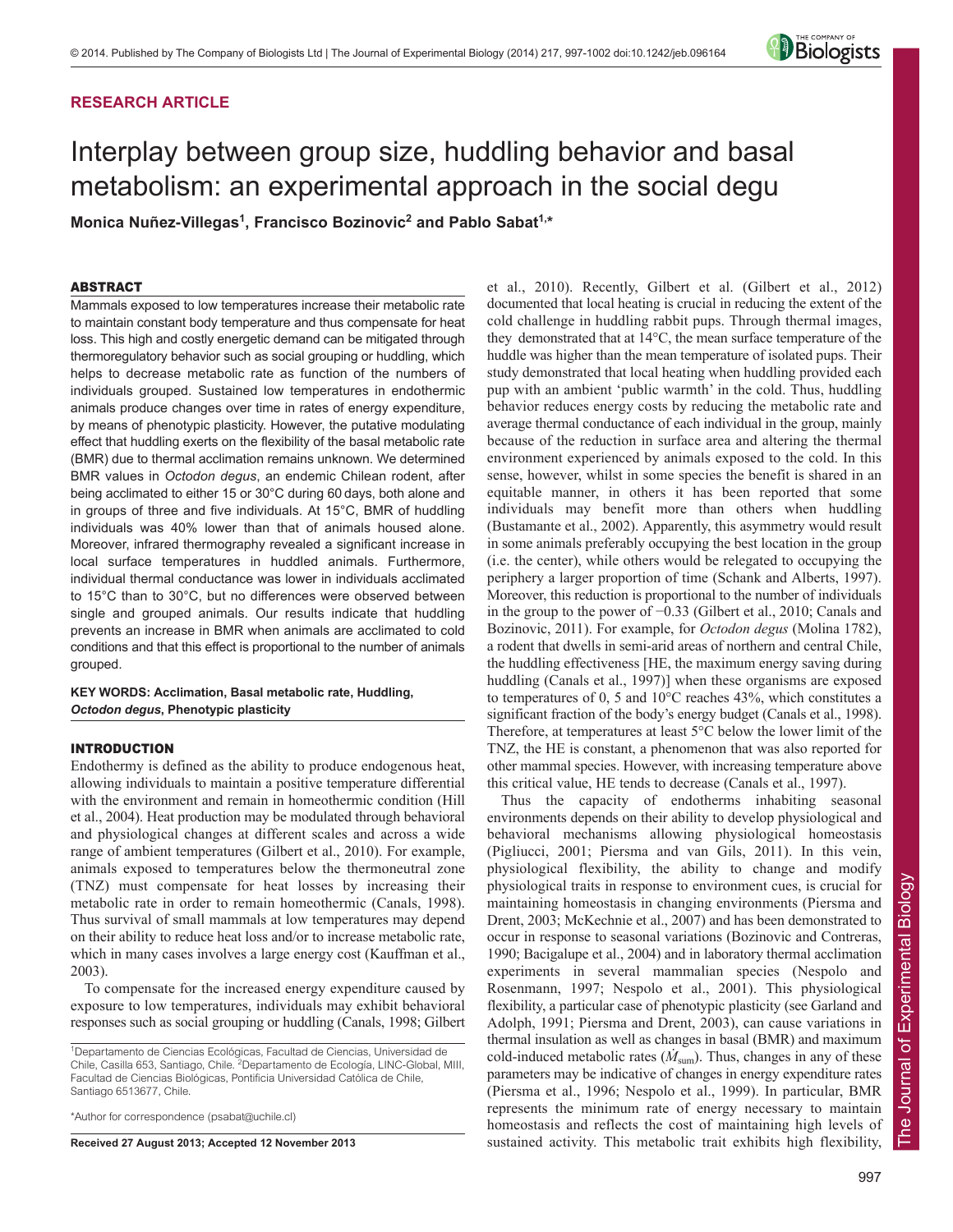# **RESEARCH ARTICLE**

# Interplay between group size, huddling behavior and basal metabolism: an experimental approach in the social degu

Monica Nuñez-Villegas<sup>1</sup>, Francisco Bozinovic<sup>2</sup> and Pablo Sabat<sup>1,\*</sup>

## ABSTRACT

Mammals exposed to low temperatures increase their metabolic rate to maintain constant body temperature and thus compensate for heat loss. This high and costly energetic demand can be mitigated through thermoregulatory behavior such as social grouping or huddling, which helps to decrease metabolic rate as function of the numbers of individuals grouped. Sustained low temperatures in endothermic animals produce changes over time in rates of energy expenditure, by means of phenotypic plasticity. However, the putative modulating effect that huddling exerts on the flexibility of the basal metabolic rate (BMR) due to thermal acclimation remains unknown. We determined BMR values in *Octodon degus*, an endemic Chilean rodent, after being acclimated to either 15 or 30°C during 60 days, both alone and in groups of three and five individuals. At 15°C, BMR of huddling individuals was 40% lower than that of animals housed alone. Moreover, infrared thermography revealed a significant increase in local surface temperatures in huddled animals. Furthermore, individual thermal conductance was lower in individuals acclimated to 15°C than to 30°C, but no differences were observed between single and grouped animals. Our results indicate that huddling prevents an increase in BMR when animals are acclimated to cold conditions and that this effect is proportional to the number of animals grouped.

**KEY WORDS: Acclimation, Basal metabolic rate, Huddling,** *Octodon degus***, Phenotypic plasticity**

# INTRODUCTION

Endothermy is defined as the ability to produce endogenous heat, allowing individuals to maintain a positive temperature differential with the environment and remain in homeothermic condition (Hill et al., 2004). Heat production may be modulated through behavioral and physiological changes at different scales and across a wide range of ambient temperatures (Gilbert et al., 2010). For example, animals exposed to temperatures below the thermoneutral zone (TNZ) must compensate for heat losses by increasing their metabolic rate in order to remain homeothermic (Canals, 1998). Thus survival of small mammals at low temperatures may depend on their ability to reduce heat loss and/or to increase metabolic rate, which in many cases involves a large energy cost (Kauffman et al., 2003).

To compensate for the increased energy expenditure caused by exposure to low temperatures, individuals may exhibit behavioral responses such as social grouping or huddling (Canals, 1998; Gilbert

\*Author for correspondence (psabat@uchile.cl)

**Received 27 August 2013; Accepted 12 November 2013**

et al., 2010). Recently, Gilbert et al. (Gilbert et al., 2012) documented that local heating is crucial in reducing the extent of the cold challenge in huddling rabbit pups. Through thermal images, they demonstrated that at 14°C, the mean surface temperature of the huddle was higher than the mean temperature of isolated pups. Their study demonstrated that local heating when huddling provided each pup with an ambient 'public warmth' in the cold. Thus, huddling behavior reduces energy costs by reducing the metabolic rate and average thermal conductance of each individual in the group, mainly because of the reduction in surface area and altering the thermal environment experienced by animals exposed to the cold. In this sense, however, whilst in some species the benefit is shared in an equitable manner, in others it has been reported that some individuals may benefit more than others when huddling (Bustamante et al., 2002). Apparently, this asymmetry would result in some animals preferably occupying the best location in the group (i.e. the center), while others would be relegated to occupying the periphery a larger proportion of time (Schank and Alberts, 1997). Moreover, this reduction is proportional to the number of individuals in the group to the power of −0.33 (Gilbert et al., 2010; Canals and Bozinovic, 2011). For example, for *Octodon degus* (Molina 1782), a rodent that dwells in semi-arid areas of northern and central Chile, the huddling effectiveness [HE, the maximum energy saving during huddling (Canals et al., 1997)] when these organisms are exposed to temperatures of 0, 5 and 10°C reaches 43%, which constitutes a significant fraction of the body's energy budget (Canals et al., 1998). Therefore, at temperatures at least 5°C below the lower limit of the TNZ, the HE is constant, a phenomenon that was also reported for other mammal species. However, with increasing temperature above this critical value, HE tends to decrease (Canals et al., 1997).

Thus the capacity of endotherms inhabiting seasonal environments depends on their ability to develop physiological and behavioral mechanisms allowing physiological homeostasis (Pigliucci, 2001; Piersma and van Gils, 2011). In this vein, physiological flexibility, the ability to change and modify physiological traits in response to environment cues, is crucial for maintaining homeostasis in changing environments (Piersma and Drent, 2003; McKechnie et al., 2007) and has been demonstrated to occur in response to seasonal variations (Bozinovic and Contreras, 1990; Bacigalupe et al., 2004) and in laboratory thermal acclimation experiments in several mammalian species (Nespolo and Rosenmann, 1997; Nespolo et al., 2001). This physiological flexibility, a particular case of phenotypic plasticity (see Garland and Adolph, 1991; Piersma and Drent, 2003), can cause variations in thermal insulation as well as changes in basal (BMR) and maximum cold-induced metabolic rates  $(\dot{M}_{\text{sum}})$ . Thus, changes in any of these parameters may be indicative of changes in energy expenditure rates (Piersma et al., 1996; Nespolo et al., 1999). In particular, BMR represents the minimum rate of energy necessary to maintain homeostasis and reflects the cost of maintaining high levels of sustained activity. This metabolic trait exhibits high flexibility,



<sup>1</sup> Departamento de Ciencias Ecológicas, Facultad de Ciencias, Universidad de Chile, Casilla 653, Santiago, Chile. <sup>2</sup>Departamento de Ecología, LINC-Global, MIII, Facultad de Ciencias Biológicas, Pontificia Universidad Católica de Chile, Santiago 6513677, Chile.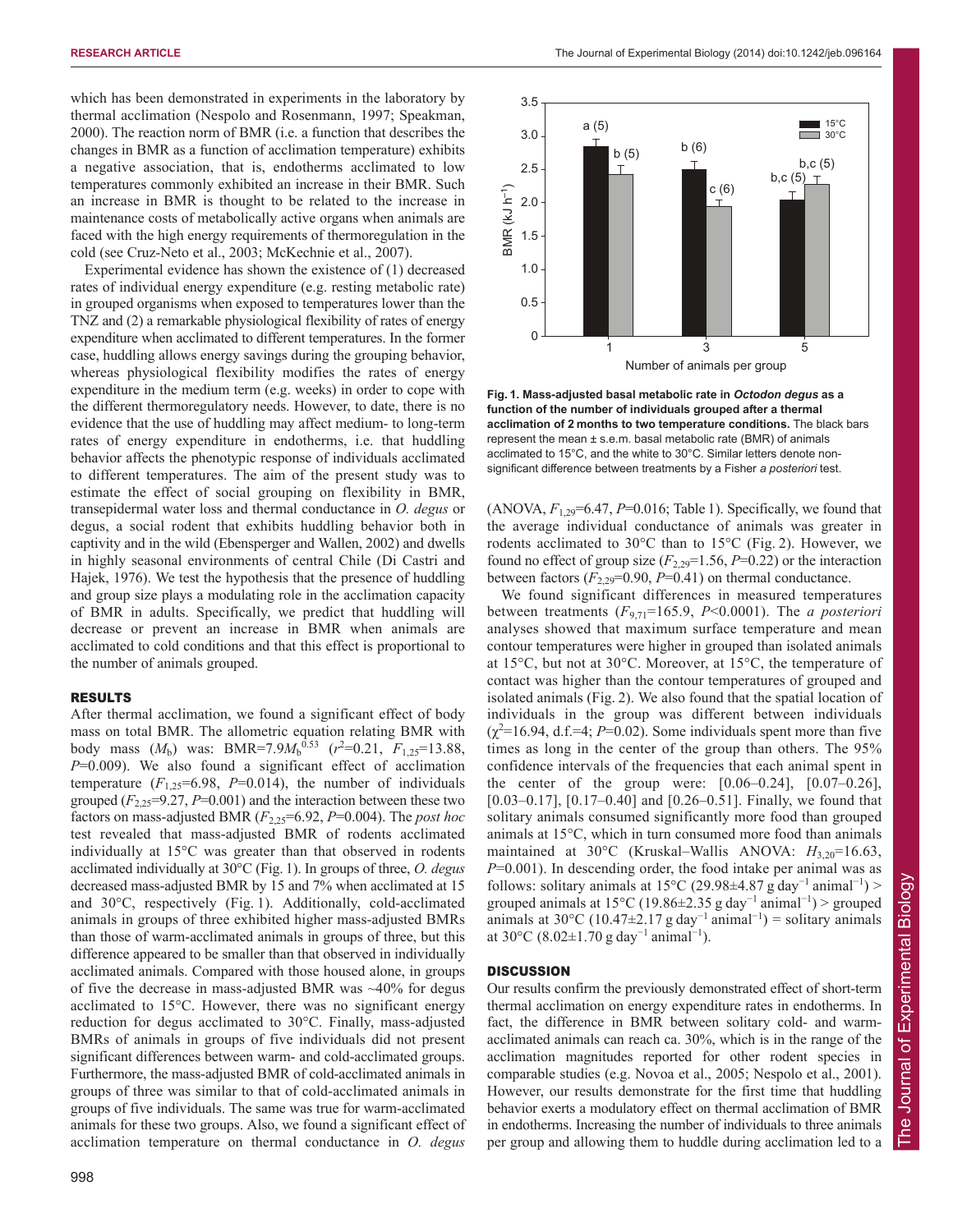which has been demonstrated in experiments in the laboratory by thermal acclimation (Nespolo and Rosenmann, 1997; Speakman, 2000). The reaction norm of BMR (i.e. a function that describes the changes in BMR as a function of acclimation temperature) exhibits a negative association, that is, endotherms acclimated to low temperatures commonly exhibited an increase in their BMR. Such an increase in BMR is thought to be related to the increase in maintenance costs of metabolically active organs when animals are faced with the high energy requirements of thermoregulation in the cold (see Cruz-Neto et al., 2003; McKechnie et al., 2007).

Experimental evidence has shown the existence of (1) decreased rates of individual energy expenditure (e.g. resting metabolic rate) in grouped organisms when exposed to temperatures lower than the TNZ and (2) a remarkable physiological flexibility of rates of energy expenditure when acclimated to different temperatures. In the former case, huddling allows energy savings during the grouping behavior, whereas physiological flexibility modifies the rates of energy expenditure in the medium term (e.g. weeks) in order to cope with the different thermoregulatory needs. However, to date, there is no evidence that the use of huddling may affect medium- to long-term rates of energy expenditure in endotherms, i.e. that huddling behavior affects the phenotypic response of individuals acclimated to different temperatures. The aim of the present study was to estimate the effect of social grouping on flexibility in BMR, transepidermal water loss and thermal conductance in *O. degus* or degus, a social rodent that exhibits huddling behavior both in captivity and in the wild (Ebensperger and Wallen, 2002) and dwells in highly seasonal environments of central Chile (Di Castri and Hajek, 1976). We test the hypothesis that the presence of huddling and group size plays a modulating role in the acclimation capacity of BMR in adults. Specifically, we predict that huddling will decrease or prevent an increase in BMR when animals are acclimated to cold conditions and that this effect is proportional to the number of animals grouped.

## RESULTS

After thermal acclimation, we found a significant effect of body mass on total BMR. The allometric equation relating BMR with body mass  $(M_b)$  was: BMR=7.9 $M_b^{0.53}$  ( $r^2$ =0.21,  $F_{1,25}$ =13.88, *P*=0.009). We also found a significant effect of acclimation temperature  $(F_{1,25} = 6.98, P = 0.014)$ , the number of individuals grouped  $(F_{2,25}=9.27, P=0.001)$  and the interaction between these two factors on mass-adjusted BMR (*F*2,25=6.92, *P*=0.004). The *post hoc* test revealed that mass-adjusted BMR of rodents acclimated individually at 15°C was greater than that observed in rodents acclimated individually at 30°C (Fig. 1). In groups of three, *O. degus* decreased mass-adjusted BMR by 15 and 7% when acclimated at 15 and 30°C, respectively (Fig. 1). Additionally, cold-acclimated animals in groups of three exhibited higher mass-adjusted BMRs than those of warm-acclimated animals in groups of three, but this difference appeared to be smaller than that observed in individually acclimated animals. Compared with those housed alone, in groups of five the decrease in mass-adjusted BMR was  $~40\%$  for degus acclimated to 15°C. However, there was no significant energy reduction for degus acclimated to 30°C. Finally, mass-adjusted BMRs of animals in groups of five individuals did not present significant differences between warm- and cold-acclimated groups. Furthermore, the mass-adjusted BMR of cold-acclimated animals in groups of three was similar to that of cold-acclimated animals in groups of five individuals. The same was true for warm-acclimated animals for these two groups. Also, we found a significant effect of acclimation temperature on thermal conductance in *O. degus*



**Fig. 1. Mass-adjusted basal metabolic rate in** *Octodon degus* **as a function of the number of individuals grouped after a thermal acclimation of 2 months to two temperature conditions.** The black bars represent the mean  $\pm$  s.e.m. basal metabolic rate (BMR) of animals acclimated to 15°C, and the white to 30°C. Similar letters denote nonsignificant difference between treatments by a Fisher *a posteriori* test.

(ANOVA,  $F_{1,29}$ =6.47, *P*=0.016; Table 1). Specifically, we found that the average individual conductance of animals was greater in rodents acclimated to 30°C than to 15°C (Fig. 2). However, we found no effect of group size  $(F_{2,29}=1.56, P=0.22)$  or the interaction between factors  $(F_{2,29}=0.90, P=0.41)$  on thermal conductance.

We found significant differences in measured temperatures between treatments (*F*9,71=165.9, *P*<0.0001). The *a posteriori* analyses showed that maximum surface temperature and mean contour temperatures were higher in grouped than isolated animals at 15°C, but not at 30°C. Moreover, at 15°C, the temperature of contact was higher than the contour temperatures of grouped and isolated animals (Fig. 2). We also found that the spatial location of individuals in the group was different between individuals  $(\chi^2=16.94, d.f.=4; P=0.02)$ . Some individuals spent more than five times as long in the center of the group than others. The 95% confidence intervals of the frequencies that each animal spent in the center of the group were:  $[0.06-0.24]$ ,  $[0.07-0.26]$ , [0.03–0.17], [0.17–0.40] and [0.26–0.51]. Finally, we found that solitary animals consumed significantly more food than grouped animals at 15°C, which in turn consumed more food than animals maintained at 30°C (Kruskal–Wallis ANOVA:  $H_{3,20}$ =16.63, *P*=0.001). In descending order, the food intake per animal was as follows: solitary animals at 15 $\degree$ C (29.98±4.87 g day<sup>-1</sup> animal<sup>-1</sup>) > grouped animals at 15°C (19.86±2.35 g day<sup>-1</sup> animal<sup>-1</sup>) > grouped animals at 30°C (10.47±2.17 g day<sup>-1</sup> animal<sup>-1</sup>) = solitary animals at 30 $^{\circ}$ C (8.02±1.70 g day<sup>-1</sup> animal<sup>-1</sup>).

## **DISCUSSION**

Our results confirm the previously demonstrated effect of short-term thermal acclimation on energy expenditure rates in endotherms. In fact, the difference in BMR between solitary cold- and warmacclimated animals can reach ca. 30%, which is in the range of the acclimation magnitudes reported for other rodent species in comparable studies (e.g. Novoa et al., 2005; Nespolo et al., 2001). However, our results demonstrate for the first time that huddling behavior exerts a modulatory effect on thermal acclimation of BMR in endotherms. Increasing the number of individuals to three animals per group and allowing them to huddle during acclimation led to a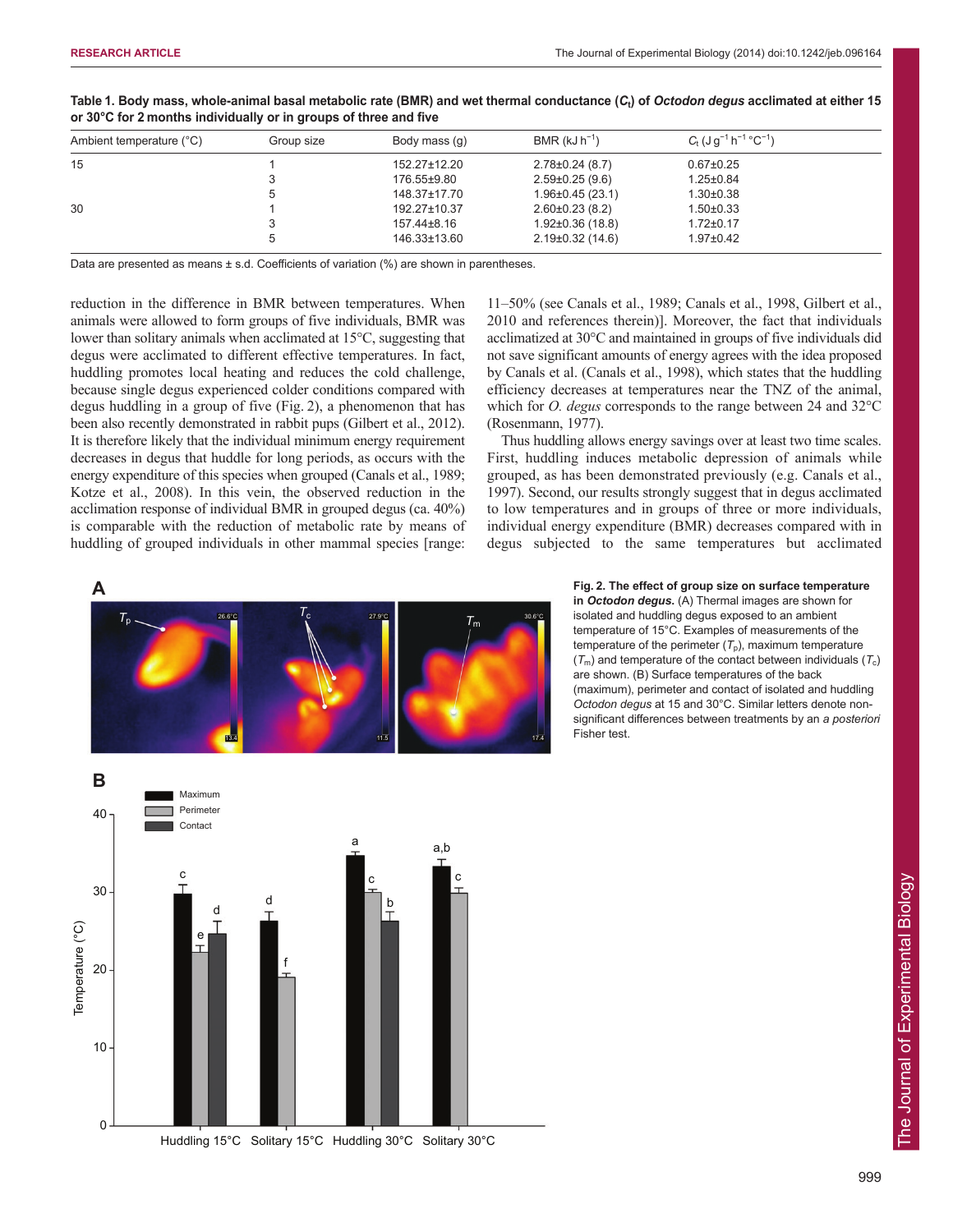| Group size    | Body mass (g) | $BMR (kJ h^{-1})$      | $C_{t}$ (J g <sup>-1</sup> h <sup>-1</sup> °C <sup>-1</sup> ) |  |
|---------------|---------------|------------------------|---------------------------------------------------------------|--|
| 15<br>رب<br>b | 152.27±12.20  | $2.78\pm0.24(8.7)$     | $0.67 \pm 0.25$                                               |  |
|               | 176.55±9.80   | $2.59\pm0.25(9.6)$     | $1.25 \pm 0.84$                                               |  |
|               | 148.37±17.70  | $1.96 \pm 0.45$ (23.1) | $1.30 \pm 0.38$                                               |  |
|               | 192.27±10.37  | $2.60 \pm 0.23$ (8.2)  | $1.50 \pm 0.33$                                               |  |
| v             | 157.44±8.16   | $1.92\pm0.36(18.8)$    | $1.72 \pm 0.17$                                               |  |
| b             | 146.33±13.60  | $2.19\pm0.32$ (14.6)   | $1.97 \pm 0.42$                                               |  |
|               |               |                        |                                                               |  |

**Table 1. Body mass, whole-animal basal metabolic rate (BMR) and wet thermal conductance (***C***t) of** *Octodon degus* **acclimated at either 15 or 30°C for 2 months individually or in groups of three and five** 

Data are presented as means  $\pm$  s.d. Coefficients of variation (%) are shown in parentheses.

reduction in the difference in BMR between temperatures. When animals were allowed to form groups of five individuals, BMR was lower than solitary animals when acclimated at 15°C, suggesting that degus were acclimated to different effective temperatures. In fact, huddling promotes local heating and reduces the cold challenge, because single degus experienced colder conditions compared with degus huddling in a group of five (Fig. 2), a phenomenon that has been also recently demonstrated in rabbit pups (Gilbert et al., 2012). It is therefore likely that the individual minimum energy requirement decreases in degus that huddle for long periods, as occurs with the energy expenditure of this species when grouped (Canals et al., 1989; Kotze et al., 2008). In this vein, the observed reduction in the acclimation response of individual BMR in grouped degus (ca. 40%) is comparable with the reduction of metabolic rate by means of huddling of grouped individuals in other mammal species [range: 11–50% (see Canals et al., 1989; Canals et al., 1998, Gilbert et al., 2010 and references therein)]. Moreover, the fact that individuals acclimatized at 30°C and maintained in groups of five individuals did not save significant amounts of energy agrees with the idea proposed by Canals et al. (Canals et al., 1998), which states that the huddling efficiency decreases at temperatures near the TNZ of the animal, which for *O. degus* corresponds to the range between 24 and 32°C (Rosenmann, 1977).

Thus huddling allows energy savings over at least two time scales. First, huddling induces metabolic depression of animals while grouped, as has been demonstrated previously (e.g. Canals et al., 1997). Second, our results strongly suggest that in degus acclimated to low temperatures and in groups of three or more individuals, individual energy expenditure (BMR) decreases compared with in degus subjected to the same temperatures but acclimated



**Fig. 2. The effect of group size on surface temperature in** *Octodon degus***.** (A) Thermal images are shown for isolated and huddling degus exposed to an ambient temperature of 15°C. Examples of measurements of the temperature of the perimeter  $(T_p)$ , maximum temperature  $(T_m)$  and temperature of the contact between individuals  $(T_c)$ are shown. (B) Surface temperatures of the back (maximum), perimeter and contact of isolated and huddling *Octodon degus* at 15 and 30°C. Similar letters denote nonsignificant differences between treatments by an *a posteriori* Fisher test.

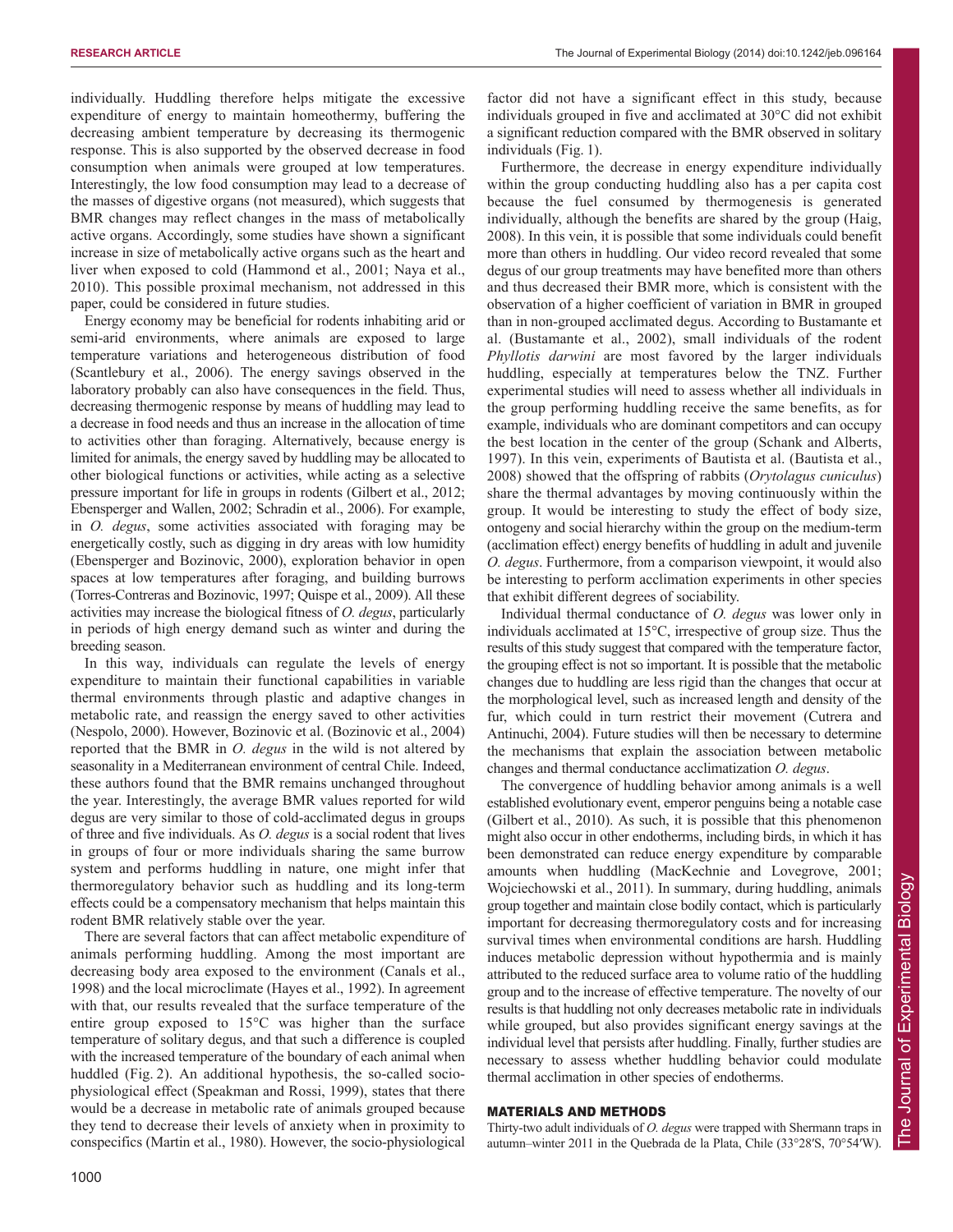individually. Huddling therefore helps mitigate the excessive expenditure of energy to maintain homeothermy, buffering the decreasing ambient temperature by decreasing its thermogenic response. This is also supported by the observed decrease in food consumption when animals were grouped at low temperatures. Interestingly, the low food consumption may lead to a decrease of the masses of digestive organs (not measured), which suggests that BMR changes may reflect changes in the mass of metabolically active organs. Accordingly, some studies have shown a significant increase in size of metabolically active organs such as the heart and liver when exposed to cold (Hammond et al., 2001; Naya et al., 2010). This possible proximal mechanism, not addressed in this paper, could be considered in future studies.

Energy economy may be beneficial for rodents inhabiting arid or semi-arid environments, where animals are exposed to large temperature variations and heterogeneous distribution of food (Scantlebury et al., 2006). The energy savings observed in the laboratory probably can also have consequences in the field. Thus, decreasing thermogenic response by means of huddling may lead to a decrease in food needs and thus an increase in the allocation of time to activities other than foraging. Alternatively, because energy is limited for animals, the energy saved by huddling may be allocated to other biological functions or activities, while acting as a selective pressure important for life in groups in rodents (Gilbert et al., 2012; Ebensperger and Wallen, 2002; Schradin et al., 2006). For example, in *O. degus*, some activities associated with foraging may be energetically costly, such as digging in dry areas with low humidity (Ebensperger and Bozinovic, 2000), exploration behavior in open spaces at low temperatures after foraging, and building burrows (Torres-Contreras and Bozinovic, 1997; Quispe et al., 2009). All these activities may increase the biological fitness of *O. degus*, particularly in periods of high energy demand such as winter and during the breeding season.

In this way, individuals can regulate the levels of energy expenditure to maintain their functional capabilities in variable thermal environments through plastic and adaptive changes in metabolic rate, and reassign the energy saved to other activities (Nespolo, 2000). However, Bozinovic et al. (Bozinovic et al., 2004) reported that the BMR in *O. degus* in the wild is not altered by seasonality in a Mediterranean environment of central Chile. Indeed, these authors found that the BMR remains unchanged throughout the year. Interestingly, the average BMR values reported for wild degus are very similar to those of cold-acclimated degus in groups of three and five individuals. As *O. degus* is a social rodent that lives in groups of four or more individuals sharing the same burrow system and performs huddling in nature, one might infer that thermoregulatory behavior such as huddling and its long-term effects could be a compensatory mechanism that helps maintain this rodent BMR relatively stable over the year.

There are several factors that can affect metabolic expenditure of animals performing huddling. Among the most important are decreasing body area exposed to the environment (Canals et al., 1998) and the local microclimate (Hayes et al., 1992). In agreement with that, our results revealed that the surface temperature of the entire group exposed to 15°C was higher than the surface temperature of solitary degus, and that such a difference is coupled with the increased temperature of the boundary of each animal when huddled (Fig. 2). An additional hypothesis, the so-called sociophysiological effect (Speakman and Rossi, 1999), states that there would be a decrease in metabolic rate of animals grouped because they tend to decrease their levels of anxiety when in proximity to conspecifics (Martin et al., 1980). However, the socio-physiological factor did not have a significant effect in this study, because individuals grouped in five and acclimated at 30°C did not exhibit a significant reduction compared with the BMR observed in solitary individuals (Fig. 1).

Furthermore, the decrease in energy expenditure individually within the group conducting huddling also has a per capita cost because the fuel consumed by thermogenesis is generated individually, although the benefits are shared by the group (Haig, 2008). In this vein, it is possible that some individuals could benefit more than others in huddling. Our video record revealed that some degus of our group treatments may have benefited more than others and thus decreased their BMR more, which is consistent with the observation of a higher coefficient of variation in BMR in grouped than in non-grouped acclimated degus. According to Bustamante et al. (Bustamante et al., 2002), small individuals of the rodent *Phyllotis darwini* are most favored by the larger individuals huddling, especially at temperatures below the TNZ. Further experimental studies will need to assess whether all individuals in the group performing huddling receive the same benefits, as for example, individuals who are dominant competitors and can occupy the best location in the center of the group (Schank and Alberts, 1997). In this vein, experiments of Bautista et al. (Bautista et al., 2008) showed that the offspring of rabbits (*Orytolagus cuniculus*) share the thermal advantages by moving continuously within the group. It would be interesting to study the effect of body size, ontogeny and social hierarchy within the group on the medium-term (acclimation effect) energy benefits of huddling in adult and juvenile *O. degus*. Furthermore, from a comparison viewpoint, it would also be interesting to perform acclimation experiments in other species that exhibit different degrees of sociability.

Individual thermal conductance of *O. degus* was lower only in individuals acclimated at 15°C, irrespective of group size. Thus the results of this study suggest that compared with the temperature factor, the grouping effect is not so important. It is possible that the metabolic changes due to huddling are less rigid than the changes that occur at the morphological level, such as increased length and density of the fur, which could in turn restrict their movement (Cutrera and Antinuchi, 2004). Future studies will then be necessary to determine the mechanisms that explain the association between metabolic changes and thermal conductance acclimatization *O. degus*.

The convergence of huddling behavior among animals is a well established evolutionary event, emperor penguins being a notable case (Gilbert et al., 2010). As such, it is possible that this phenomenon might also occur in other endotherms, including birds, in which it has been demonstrated can reduce energy expenditure by comparable amounts when huddling (MacKechnie and Lovegrove, 2001; Wojciechowski et al., 2011). In summary, during huddling, animals group together and maintain close bodily contact, which is particularly important for decreasing thermoregulatory costs and for increasing survival times when environmental conditions are harsh. Huddling induces metabolic depression without hypothermia and is mainly attributed to the reduced surface area to volume ratio of the huddling group and to the increase of effective temperature. The novelty of our results is that huddling not only decreases metabolic rate in individuals while grouped, but also provides significant energy savings at the individual level that persists after huddling. Finally, further studies are necessary to assess whether huddling behavior could modulate thermal acclimation in other species of endotherms.

# MATERIALS AND METHODS

Thirty-two adult individuals of *O. degus* were trapped with Shermann traps in autumn–winter 2011 in the Quebrada de la Plata, Chile (33°28′S, 70°54′W).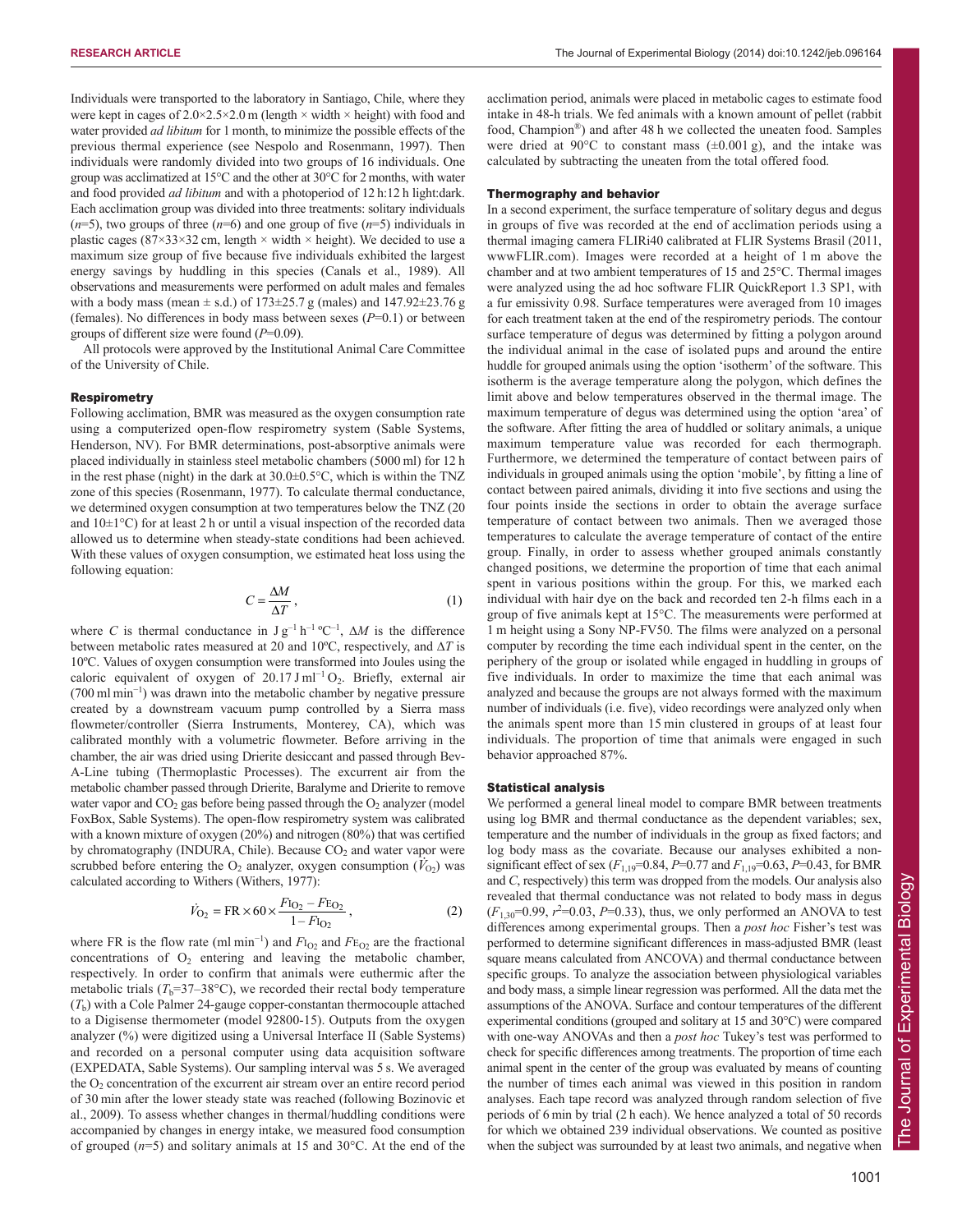Individuals were transported to the laboratory in Santiago, Chile, where they were kept in cages of  $2.0 \times 2.5 \times 2.0$  m (length  $\times$  width  $\times$  height) with food and water provided *ad libitum* for 1 month, to minimize the possible effects of the previous thermal experience (see Nespolo and Rosenmann, 1997). Then individuals were randomly divided into two groups of 16 individuals. One group was acclimatized at 15°C and the other at 30°C for 2months, with water and food provided *ad libitum* and with a photoperiod of 12 h:12 h light:dark. Each acclimation group was divided into three treatments: solitary individuals ( $n=5$ ), two groups of three ( $n=6$ ) and one group of five ( $n=5$ ) individuals in plastic cages ( $87 \times 33 \times 32$  cm, length  $\times$  width  $\times$  height). We decided to use a maximum size group of five because five individuals exhibited the largest energy savings by huddling in this species (Canals et al., 1989). All observations and measurements were performed on adult males and females with a body mass (mean  $\pm$  s.d.) of 173 $\pm$ 25.7 g (males) and 147.92 $\pm$ 23.76 g (females). No differences in body mass between sexes (*P*=0.1) or between groups of different size were found (*P*=0.09).

All protocols were approved by the Institutional Animal Care Committee of the University of Chile.

#### **Respirometry**

Following acclimation, BMR was measured as the oxygen consumption rate using a computerized open-flow respirometry system (Sable Systems, Henderson, NV). For BMR determinations, post-absorptive animals were placed individually in stainless steel metabolic chambers (5000 ml) for 12 h in the rest phase (night) in the dark at  $30.0\pm0.5^{\circ}$ C, which is within the TNZ zone of this species (Rosenmann, 1977). To calculate thermal conductance, we determined oxygen consumption at two temperatures below the TNZ (20 and  $10\pm1\degree C$ ) for at least 2 h or until a visual inspection of the recorded data allowed us to determine when steady-state conditions had been achieved. With these values of oxygen consumption, we estimated heat loss using the following equation:

$$
C = \frac{\Delta M}{\Delta T},\tag{1}
$$

where *C* is thermal conductance in  $Jg^{-1}h^{-1}C^{-1}$ ,  $\Delta M$  is the difference between metabolic rates measured at 20 and 10ºC, respectively, and ∆*T* is 10ºC. Values of oxygen consumption were transformed into Joules using the caloric equivalent of oxygen of 20.17 J ml<sup>-1</sup> O<sub>2</sub>. Briefly, external air (700 ml min<sup>−</sup><sup>1</sup> ) was drawn into the metabolic chamber by negative pressure created by a downstream vacuum pump controlled by a Sierra mass flowmeter/controller (Sierra Instruments, Monterey, CA), which was calibrated monthly with a volumetric flowmeter. Before arriving in the chamber, the air was dried using Drierite desiccant and passed through Bev-A-Line tubing (Thermoplastic Processes). The excurrent air from the metabolic chamber passed through Drierite, Baralyme and Drierite to remove water vapor and  $CO<sub>2</sub>$  gas before being passed through the  $O<sub>2</sub>$  analyzer (model FoxBox, Sable Systems). The open-flow respirometry system was calibrated with a known mixture of oxygen (20%) and nitrogen (80%) that was certified by chromatography (INDURA, Chile). Because  $CO<sub>2</sub>$  and water vapor were scrubbed before entering the  $O_2$  analyzer, oxygen consumption  $(\vec{V}_{O_2})$  was calculated according to Withers (Withers, 1977):

$$
\dot{V}_{\text{O}_2} = \text{FR} \times 60 \times \frac{F_{\text{O}_2} - F_{\text{E}_{\text{O}_2}}}{1 - F_{\text{O}_2}},\tag{2}
$$

where FR is the flow rate (ml min<sup>-1</sup>) and  $F_{102}$  and  $F_{102}$  are the fractional concentrations of  $O_2$  entering and leaving the metabolic chamber, respectively. In order to confirm that animals were euthermic after the metabolic trials  $(T_b=37-38$ °C), we recorded their rectal body temperature  $(T<sub>b</sub>)$  with a Cole Palmer 24-gauge copper-constantan thermocouple attached to a Digisense thermometer (model 92800-15). Outputs from the oxygen analyzer (%) were digitized using a Universal Interface II (Sable Systems) and recorded on a personal computer using data acquisition software (EXPEDATA, Sable Systems). Our sampling interval was 5 s. We averaged the  $O<sub>2</sub>$  concentration of the excurrent air stream over an entire record period of 30 min after the lower steady state was reached (following Bozinovic et al., 2009). To assess whether changes in thermal/huddling conditions were accompanied by changes in energy intake, we measured food consumption of grouped (*n*=5) and solitary animals at 15 and 30°C. At the end of the

acclimation period, animals were placed in metabolic cages to estimate food intake in 48-h trials. We fed animals with a known amount of pellet (rabbit food, Champion®) and after 48 h we collected the uneaten food. Samples were dried at 90 $^{\circ}$ C to constant mass ( $\pm$ 0.001 g), and the intake was calculated by subtracting the uneaten from the total offered food.

## Thermography and behavior

In a second experiment, the surface temperature of solitary degus and degus in groups of five was recorded at the end of acclimation periods using a thermal imaging camera FLIRi40 calibrated at FLIR Systems Brasil (2011, wwwFLIR.com). Images were recorded at a height of 1 m above the chamber and at two ambient temperatures of 15 and 25°C. Thermal images were analyzed using the ad hoc software FLIR QuickReport 1.3 SP1, with a fur emissivity 0.98. Surface temperatures were averaged from 10 images for each treatment taken at the end of the respirometry periods. The contour surface temperature of degus was determined by fitting a polygon around the individual animal in the case of isolated pups and around the entire huddle for grouped animals using the option 'isotherm' of the software. This isotherm is the average temperature along the polygon, which defines the limit above and below temperatures observed in the thermal image. The maximum temperature of degus was determined using the option 'area' of the software. After fitting the area of huddled or solitary animals, a unique maximum temperature value was recorded for each thermograph. Furthermore, we determined the temperature of contact between pairs of individuals in grouped animals using the option 'mobile', by fitting a line of contact between paired animals, dividing it into five sections and using the four points inside the sections in order to obtain the average surface temperature of contact between two animals. Then we averaged those temperatures to calculate the average temperature of contact of the entire group. Finally, in order to assess whether grouped animals constantly changed positions, we determine the proportion of time that each animal spent in various positions within the group. For this, we marked each individual with hair dye on the back and recorded ten 2-h films each in a group of five animals kept at 15°C. The measurements were performed at 1 m height using a Sony NP-FV50. The films were analyzed on a personal computer by recording the time each individual spent in the center, on the periphery of the group or isolated while engaged in huddling in groups of five individuals. In order to maximize the time that each animal was analyzed and because the groups are not always formed with the maximum number of individuals (i.e. five), video recordings were analyzed only when the animals spent more than 15 min clustered in groups of at least four individuals. The proportion of time that animals were engaged in such behavior approached 87%.

### Statistical analysis

We performed a general lineal model to compare BMR between treatments using log BMR and thermal conductance as the dependent variables; sex, temperature and the number of individuals in the group as fixed factors; and log body mass as the covariate. Because our analyses exhibited a nonsignificant effect of sex (*F*1,19=0.84, *P*=0.77 and *F*1,19=0.63, *P*=0.43, for BMR and *C*, respectively) this term was dropped from the models. Our analysis also revealed that thermal conductance was not related to body mass in degus  $(F_{1,30} = 0.99, r^2 = 0.03, P = 0.33)$ , thus, we only performed an ANOVA to test differences among experimental groups. Then a *post hoc* Fisher's test was performed to determine significant differences in mass-adjusted BMR (least square means calculated from ANCOVA) and thermal conductance between specific groups. To analyze the association between physiological variables and body mass, a simple linear regression was performed. All the data met the assumptions of the ANOVA. Surface and contour temperatures of the different experimental conditions (grouped and solitary at 15 and 30°C) were compared with one-way ANOVAs and then a *post hoc* Tukey's test was performed to check for specific differences among treatments. The proportion of time each animal spent in the center of the group was evaluated by means of counting the number of times each animal was viewed in this position in random analyses. Each tape record was analyzed through random selection of five periods of 6 min by trial (2 h each). We hence analyzed a total of 50 records for which we obtained 239 individual observations. We counted as positive when the subject was surrounded by at least two animals, and negative when